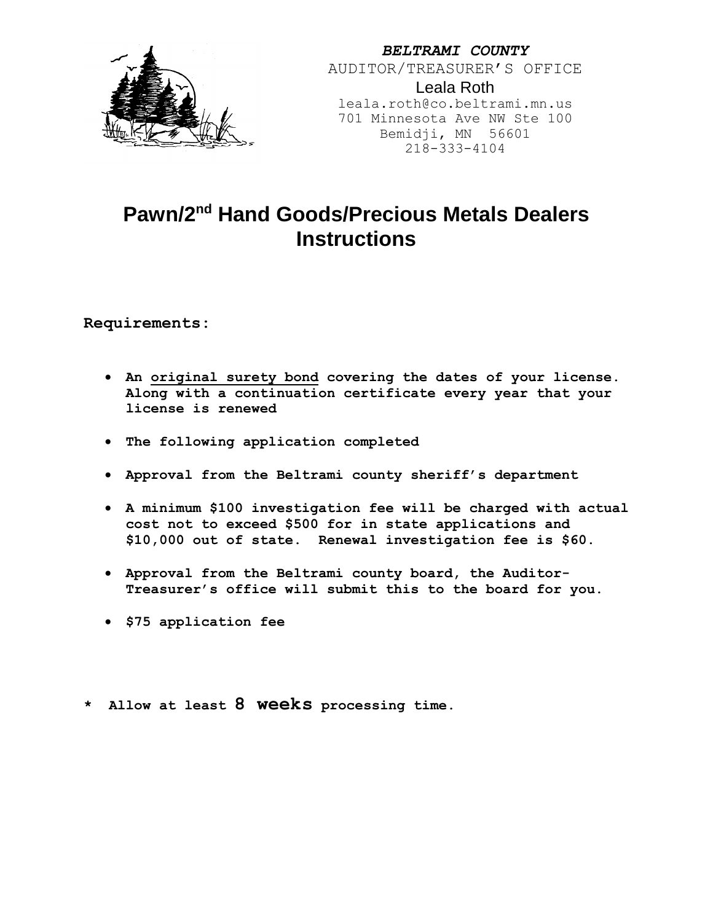

*BELTRAMI COUNTY* AUDITOR/TREASURER'S OFFICE Leala Roth leala.roth@co.beltrami.mn.us 701 Minnesota Ave NW Ste 100 Bemidji, MN 56601 218-333-4104

# **Pawn/2nd Hand Goods/Precious Metals Dealers Instructions**

**Requirements:**

- **An original surety bond covering the dates of your license. Along with a continuation certificate every year that your license is renewed**
- **The following application completed**
- **Approval from the Beltrami county sheriff's department**
- **A minimum \$100 investigation fee will be charged with actual cost not to exceed \$500 for in state applications and \$10,000 out of state. Renewal investigation fee is \$60.**
- **Approval from the Beltrami county board, the Auditor-Treasurer's office will submit this to the board for you.**
- **\$75 application fee**
- **\* Allow at least 8 weeks processing time.**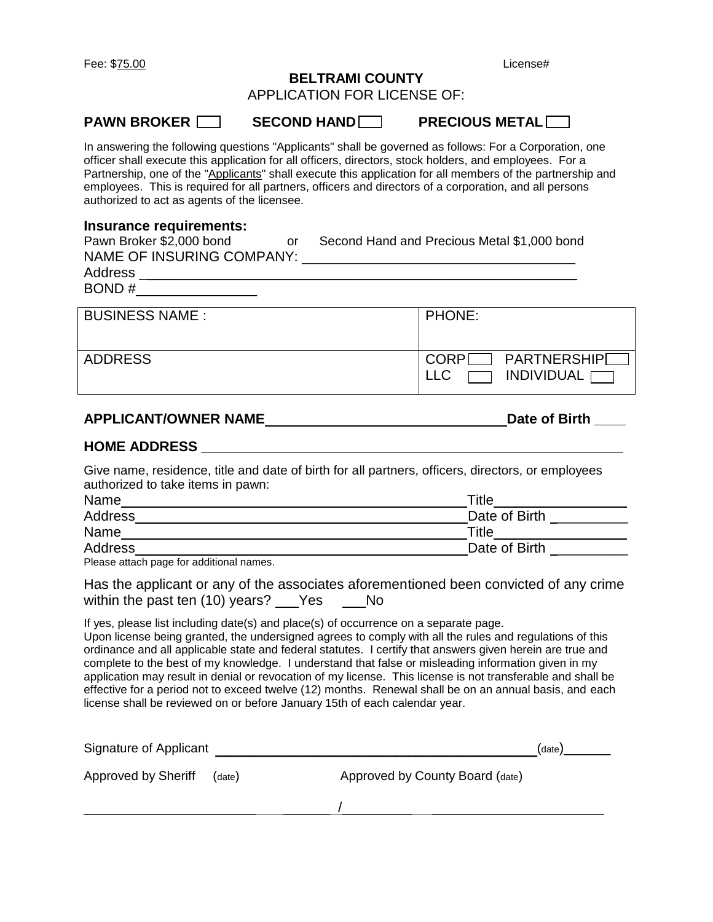Fee: \$75.00 License#

### **BELTRAMI COUNTY**

APPLICATION FOR LICENSE OF:

**PAWN BROKER SECOND HAND PRECIOUS METAL** 

In answering the following questions "Applicants" shall be governed as follows: For a Corporation, one officer shall execute this application for all officers, directors, stock holders, and employees. For a Partnership, one of the "Applicants" shall execute this application for all members of the partnership and employees. This is required for all partners, officers and directors of a corporation, and all persons authorized to act as agents of the licensee.

### **Insurance requirements:**

| Pawn Broker \$2,000 bond<br>or<br>NAME OF INSURING COMPANY:<br>Address<br>BOND# | Second Hand and Precious Metal \$1,000 bond                   |  |  |
|---------------------------------------------------------------------------------|---------------------------------------------------------------|--|--|
| <b>BUSINESS NAME:</b>                                                           | PHONE:                                                        |  |  |
| <b>ADDRESS</b>                                                                  | <b>PARTNERSHIP</b><br><b>CORP</b><br><b>INDIVIDUAL</b><br>LLC |  |  |

## **APPLICANT/OWNER NAME Date of Birth \_\_\_\_**

### **HOME ADDRESS \_\_\_\_\_\_\_\_\_\_\_\_\_\_\_\_\_\_\_\_\_\_\_\_\_\_\_\_\_\_\_\_\_\_\_\_\_\_\_\_\_\_\_\_\_\_\_\_\_\_\_\_\_\_**

Give name, residence, title and date of birth for all partners, officers, directors, or employees authorized to take items in pawn:

| Name    | $\tau$ itle   |  |  |
|---------|---------------|--|--|
| Address | Date of Birth |  |  |
| Name    | Title         |  |  |
| Address | Date of Birth |  |  |

Please attach page for additional names.

| Has the applicant or any of the associates aforementioned been convicted of any crime |     |    |  |
|---------------------------------------------------------------------------------------|-----|----|--|
| within the past ten (10) years?                                                       | Yes | Nο |  |

If yes, please list including date(s) and place(s) of occurrence on a separate page.

Upon license being granted, the undersigned agrees to comply with all the rules and regulations of this ordinance and all applicable state and federal statutes. I certify that answers given herein are true and complete to the best of my knowledge. I understand that false or misleading information given in my application may result in denial or revocation of my license. This license is not transferable and shall be effective for a period not to exceed twelve (12) months. Renewal shall be on an annual basis, and each license shall be reviewed on or before January 15th of each calendar year.

| Signature of Applicant |        |                                 | (date) |
|------------------------|--------|---------------------------------|--------|
| Approved by Sheriff    | (date) | Approved by County Board (date) |        |
|                        |        |                                 |        |